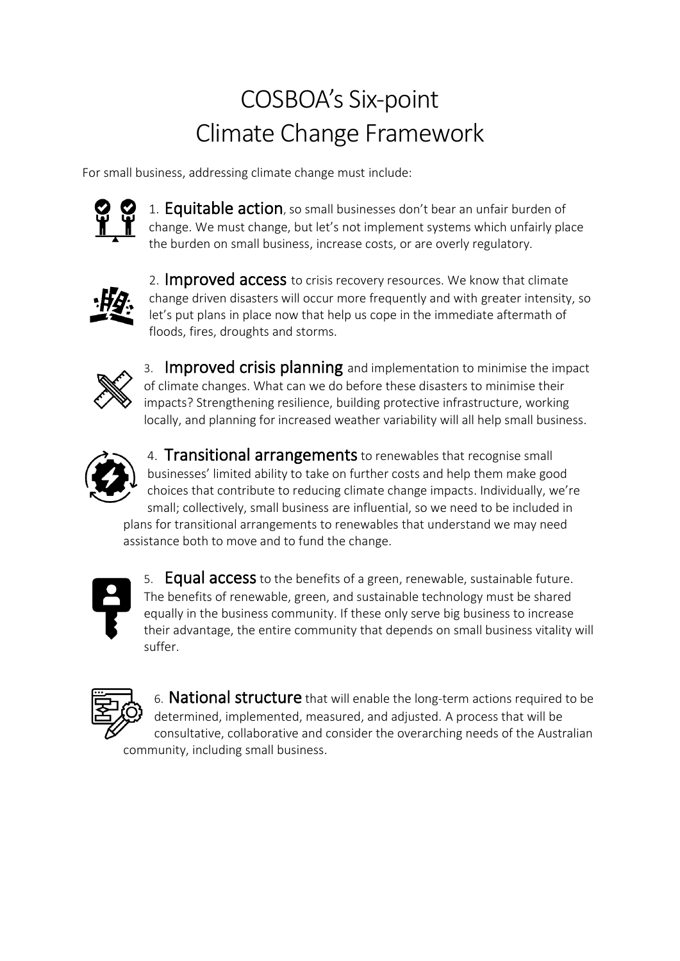## COSBOA's Six-point Climate Change Framework

For small business, addressing climate change must include:



1. Equitable action, so small businesses don't bear an unfair burden of change. We must change, but let's not implement systems which unfairly place the burden on small business, increase costs, or are overly regulatory.



2. **Improved access** to crisis recovery resources. We know that climate change driven disasters will occur more frequently and with greater intensity, so let's put plans in place now that help us cope in the immediate aftermath of floods, fires, droughts and storms.



3. Improved crisis planning and implementation to minimise the impact of climate changes. What can we do before these disasters to minimise their impacts? Strengthening resilience, building protective infrastructure, working locally, and planning for increased weather variability will all help small business.



4. **Transitional arrangements** to renewables that recognise small businesses' limited ability to take on further costs and help them make good choices that contribute to reducing climate change impacts. Individually, we're small; collectively, small business are influential, so we need to be included in plans for transitional arrangements to renewables that understand we may need assistance both to move and to fund the change.



5. **Equal access** to the benefits of a green, renewable, sustainable future. The benefits of renewable, green, and sustainable technology must be shared equally in the business community. If these only serve big business to increase their advantage, the entire community that depends on small business vitality will suffer.



6. National structure that will enable the long-term actions required to be determined, implemented, measured, and adjusted. A process that will be consultative, collaborative and consider the overarching needs of the Australian community, including small business.